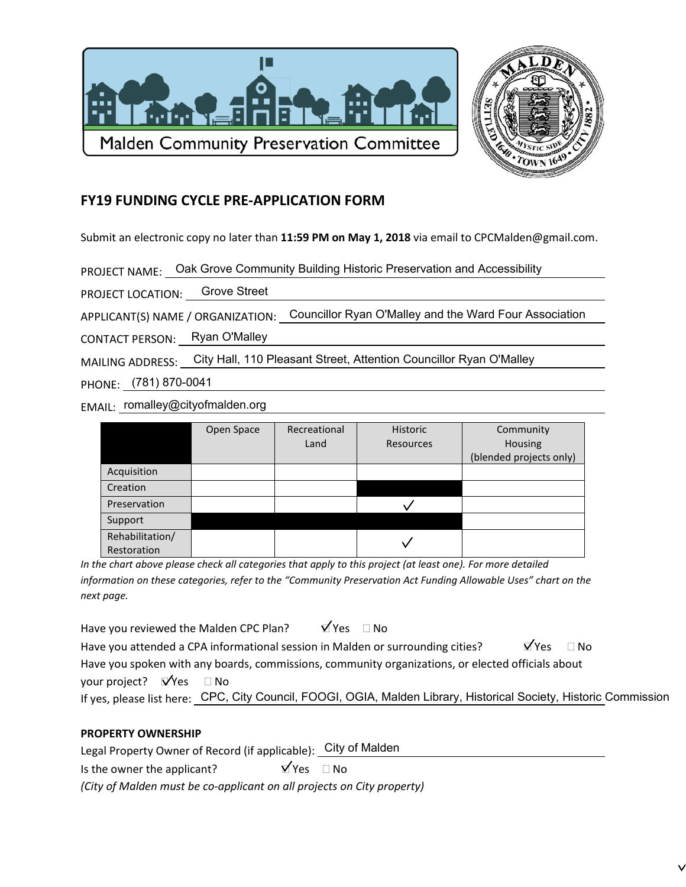



## **FY19 FUNDING CYCLE PRE-APPLICATION FORM**

Submit an electronic copy no later than 11:59 PM on May 1, 2018 via email to CPCMalden@gmail.com.

PROJECT NAME: Oak Grove Community Building Historic Preservation and Accessibility

**PROJECT LOCATION: Grove Street** 

APPLICANT(S) NAME / ORGANIZATION: Councillor Ryan O'Malley and the Ward Four Association

CONTACT PERSON: Ryan O'Malley

MAILING ADDRESS: City Hall, 110 Pleasant Street, Attention Councillor Ryan O'Malley

PHONE: (781) 870-0041

EMAIL: romalley@cityofmalden.org

|                 | Open Space | Recreational | Historic         | Community               |
|-----------------|------------|--------------|------------------|-------------------------|
|                 |            | Land         | <b>Resources</b> | Housing                 |
|                 |            |              |                  | (blended projects only) |
| Acquisition     |            |              |                  |                         |
| Creation        |            |              |                  |                         |
| Preservation    |            |              |                  |                         |
| Support         |            |              |                  |                         |
| Rehabilitation/ |            |              |                  |                         |
| Restoration     |            |              |                  |                         |

In the chart above please check all categories that apply to this project (at least one). For more detailed information on these categories, refer to the "Community Preservation Act Funding Allowable Uses" chart on the next page.

 $\forall$  Yes  $\Box$  No Have you reviewed the Malden CPC Plan?  $\forall$ Yes Have you attended a CPA informational session in Malden or surrounding cities?  $\Box$  No Have you spoken with any boards, commissions, community organizations, or elected officials about your project?  $\mathbb{V}'$ Yes  $\Box$  No If yes, please list here: CPC, City Council, FOOGI, OGIA, Malden Library, Historical Society, Historic Commission

## **PROPERTY OWNERSHIP**

Legal Property Owner of Record (if applicable): City of Malden  $\overline{Y}$ Yes  $\Box$  No Is the owner the applicant?

(City of Malden must be co-applicant on all projects on City property)